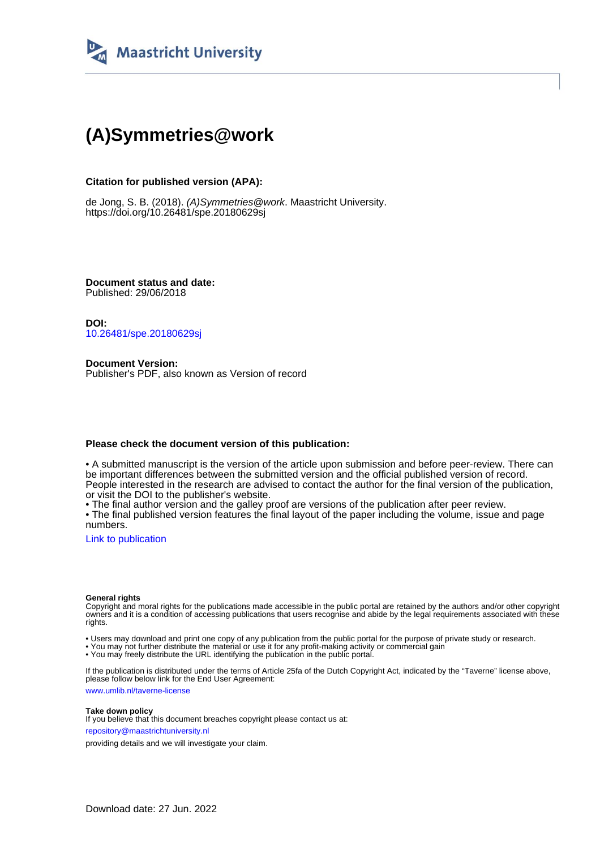

## **(A)Symmetries@work**

#### **Citation for published version (APA):**

de Jong, S. B. (2018). (A)Symmetries@work. Maastricht University. <https://doi.org/10.26481/spe.20180629sj>

**Document status and date:** Published: 29/06/2018

**DOI:** [10.26481/spe.20180629sj](https://doi.org/10.26481/spe.20180629sj)

**Document Version:** Publisher's PDF, also known as Version of record

#### **Please check the document version of this publication:**

• A submitted manuscript is the version of the article upon submission and before peer-review. There can be important differences between the submitted version and the official published version of record. People interested in the research are advised to contact the author for the final version of the publication, or visit the DOI to the publisher's website.

• The final author version and the galley proof are versions of the publication after peer review.

• The final published version features the final layout of the paper including the volume, issue and page numbers.

[Link to publication](https://cris.maastrichtuniversity.nl/en/publications/d1ee1292-fb3f-4947-9e92-edcf559d3eaa)

#### **General rights**

Copyright and moral rights for the publications made accessible in the public portal are retained by the authors and/or other copyright owners and it is a condition of accessing publications that users recognise and abide by the legal requirements associated with these rights.

• Users may download and print one copy of any publication from the public portal for the purpose of private study or research.

• You may not further distribute the material or use it for any profit-making activity or commercial gain

• You may freely distribute the URL identifying the publication in the public portal.

If the publication is distributed under the terms of Article 25fa of the Dutch Copyright Act, indicated by the "Taverne" license above, please follow below link for the End User Agreement:

www.umlib.nl/taverne-license

#### **Take down policy**

If you believe that this document breaches copyright please contact us at: repository@maastrichtuniversity.nl

providing details and we will investigate your claim.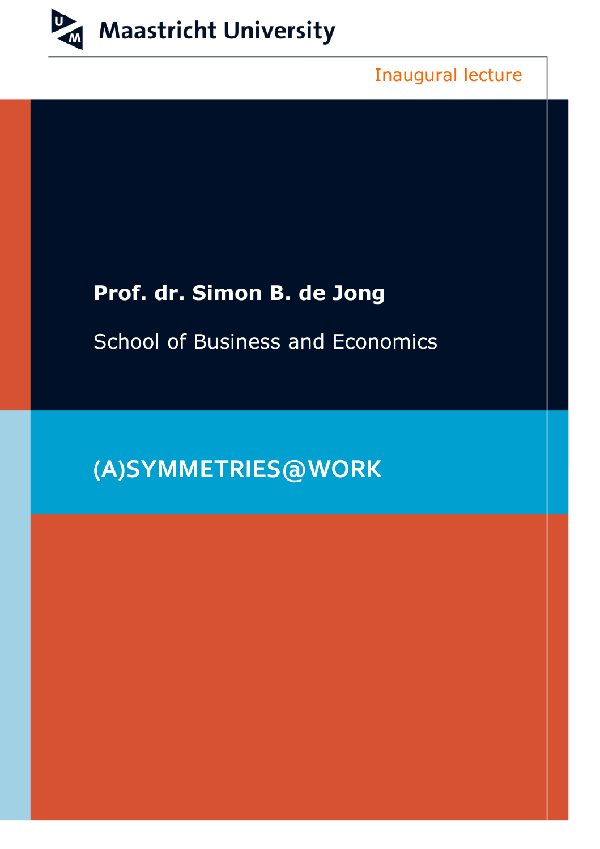

Inaugural lecture

## **Prof. dr. Simon B. de Jong**

School of Business and Economics

## **(A)SYMMETRIES@WORK**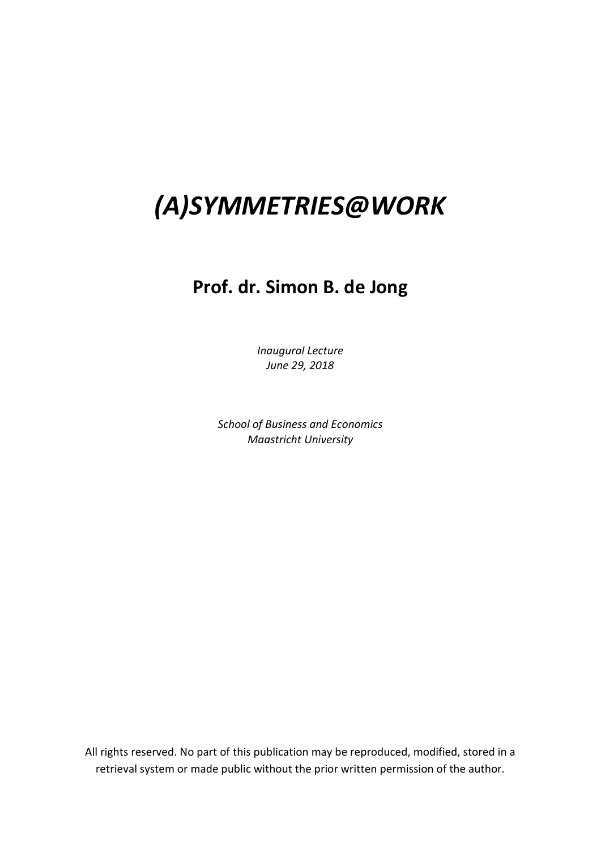# *(A)SYMMETRIES@WORK*

## **Prof. dr. Simon B. de Jong**

*Inaugural Lecture June 29, 2018*

*School of Business and Economics Maastricht University*

All rights reserved. No part of this publication may be reproduced, modified, stored in a retrieval system or made public without the prior written permission of the author.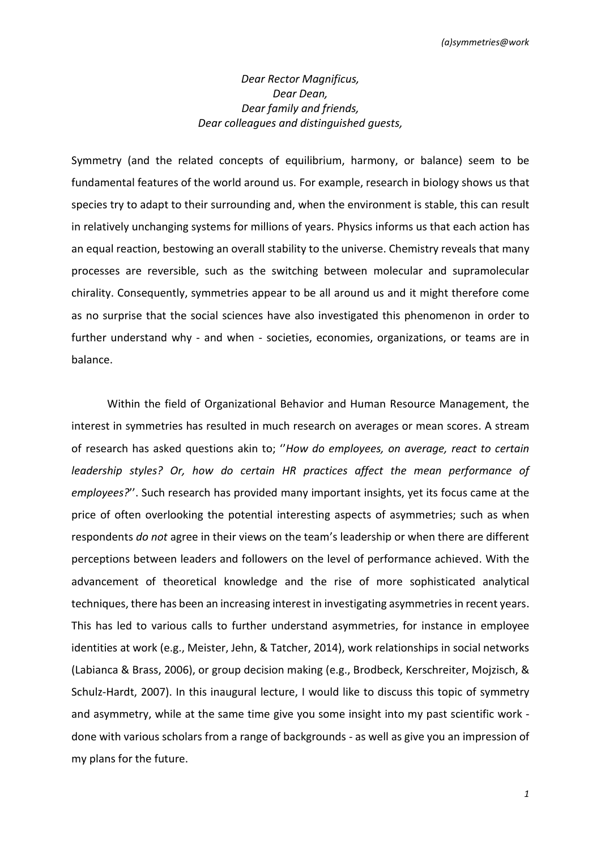### *Dear Rector Magnificus, Dear Dean, Dear family and friends, Dear colleagues and distinguished guests,*

Symmetry (and the related concepts of equilibrium, harmony, or balance) seem to be fundamental features of the world around us. For example, research in biology shows us that species try to adapt to their surrounding and, when the environment is stable, this can result in relatively unchanging systems for millions of years. Physics informs us that each action has an equal reaction, bestowing an overall stability to the universe. Chemistry reveals that many processes are reversible, such as the switching between molecular and supramolecular chirality. Consequently, symmetries appear to be all around us and it might therefore come as no surprise that the social sciences have also investigated this phenomenon in order to further understand why - and when - societies, economies, organizations, or teams are in balance.

Within the field of Organizational Behavior and Human Resource Management, the interest in symmetries has resulted in much research on averages or mean scores. A stream of research has asked questions akin to; ''*How do employees, on average, react to certain leadership styles? Or, how do certain HR practices affect the mean performance of employees?*''. Such research has provided many important insights, yet its focus came at the price of often overlooking the potential interesting aspects of asymmetries; such as when respondents *do not* agree in their views on the team's leadership or when there are different perceptions between leaders and followers on the level of performance achieved. With the advancement of theoretical knowledge and the rise of more sophisticated analytical techniques, there has been an increasing interest in investigating asymmetries in recent years. This has led to various calls to further understand asymmetries, for instance in employee identities at work (e.g., Meister, Jehn, & Tatcher, 2014), work relationships in social networks (Labianca & Brass, 2006), or group decision making (e.g., Brodbeck, Kerschreiter, Mojzisch, & Schulz-Hardt, 2007). In this inaugural lecture, I would like to discuss this topic of symmetry and asymmetry, while at the same time give you some insight into my past scientific work done with various scholars from a range of backgrounds - as well as give you an impression of my plans for the future.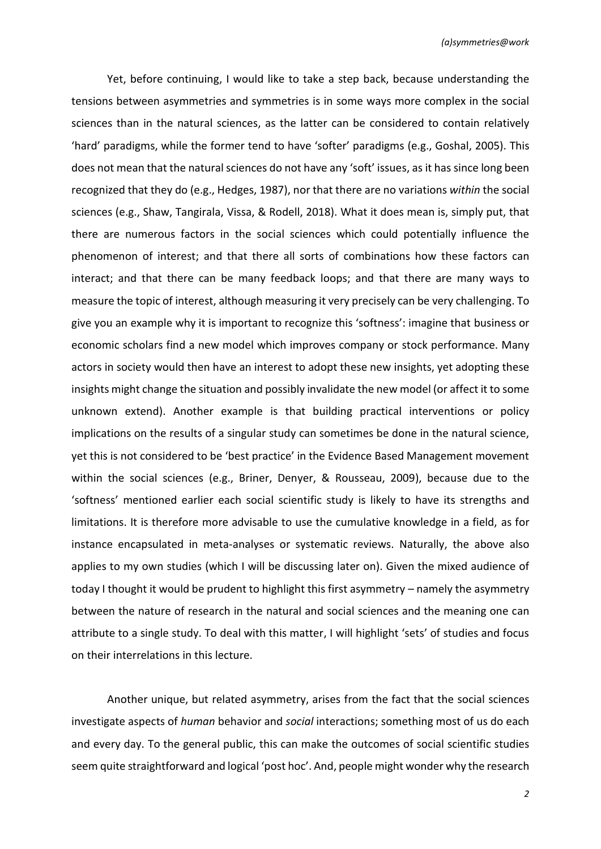Yet, before continuing, I would like to take a step back, because understanding the tensions between asymmetries and symmetries is in some ways more complex in the social sciences than in the natural sciences, as the latter can be considered to contain relatively 'hard' paradigms, while the former tend to have 'softer' paradigms (e.g., Goshal, 2005). This does not mean that the natural sciences do not have any 'soft' issues, as it has since long been recognized that they do (e.g., Hedges, 1987), nor that there are no variations *within* the social sciences (e.g., Shaw, Tangirala, Vissa, & Rodell, 2018). What it does mean is, simply put, that there are numerous factors in the social sciences which could potentially influence the phenomenon of interest; and that there all sorts of combinations how these factors can interact; and that there can be many feedback loops; and that there are many ways to measure the topic of interest, although measuring it very precisely can be very challenging. To give you an example why it is important to recognize this 'softness': imagine that business or economic scholars find a new model which improves company or stock performance. Many actors in society would then have an interest to adopt these new insights, yet adopting these insights might change the situation and possibly invalidate the new model (or affect it to some unknown extend). Another example is that building practical interventions or policy implications on the results of a singular study can sometimes be done in the natural science, yet this is not considered to be 'best practice' in the Evidence Based Management movement within the social sciences (e.g., Briner, Denyer, & Rousseau, 2009), because due to the 'softness' mentioned earlier each social scientific study is likely to have its strengths and limitations. It is therefore more advisable to use the cumulative knowledge in a field, as for instance encapsulated in meta-analyses or systematic reviews. Naturally, the above also applies to my own studies (which I will be discussing later on). Given the mixed audience of today I thought it would be prudent to highlight this first asymmetry – namely the asymmetry between the nature of research in the natural and social sciences and the meaning one can attribute to a single study. To deal with this matter, I will highlight 'sets' of studies and focus on their interrelations in this lecture.

Another unique, but related asymmetry, arises from the fact that the social sciences investigate aspects of *human* behavior and *social* interactions; something most of us do each and every day. To the general public, this can make the outcomes of social scientific studies seem quite straightforward and logical 'post hoc'. And, people might wonder why the research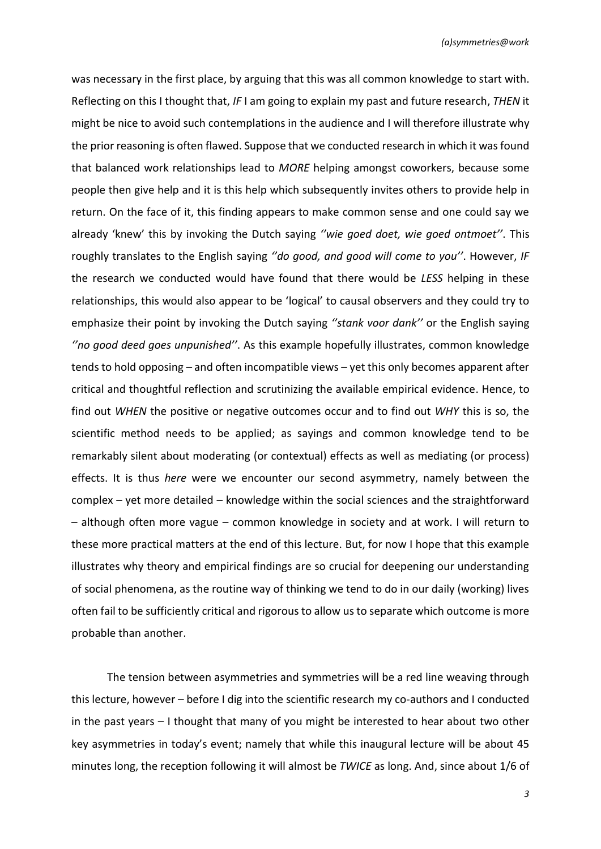was necessary in the first place, by arguing that this was all common knowledge to start with. Reflecting on this I thought that, *IF* I am going to explain my past and future research, *THEN* it might be nice to avoid such contemplations in the audience and I will therefore illustrate why the prior reasoning is often flawed. Suppose that we conducted research in which it was found that balanced work relationships lead to *MORE* helping amongst coworkers, because some people then give help and it is this help which subsequently invites others to provide help in return. On the face of it, this finding appears to make common sense and one could say we already 'knew' this by invoking the Dutch saying *''wie goed doet, wie goed ontmoet''*. This roughly translates to the English saying *''do good, and good will come to you''*. However, *IF* the research we conducted would have found that there would be *LESS* helping in these relationships, this would also appear to be 'logical' to causal observers and they could try to emphasize their point by invoking the Dutch saying *''stank voor dank''* or the English saying *''no good deed goes unpunished''*. As this example hopefully illustrates, common knowledge tends to hold opposing – and often incompatible views – yet this only becomes apparent after critical and thoughtful reflection and scrutinizing the available empirical evidence. Hence, to find out *WHEN* the positive or negative outcomes occur and to find out *WHY* this is so, the scientific method needs to be applied; as sayings and common knowledge tend to be remarkably silent about moderating (or contextual) effects as well as mediating (or process) effects. It is thus *here* were we encounter our second asymmetry, namely between the complex – yet more detailed – knowledge within the social sciences and the straightforward – although often more vague – common knowledge in society and at work. I will return to these more practical matters at the end of this lecture. But, for now I hope that this example illustrates why theory and empirical findings are so crucial for deepening our understanding of social phenomena, as the routine way of thinking we tend to do in our daily (working) lives often fail to be sufficiently critical and rigorous to allow us to separate which outcome is more probable than another.

The tension between asymmetries and symmetries will be a red line weaving through this lecture, however – before I dig into the scientific research my co-authors and I conducted in the past years – I thought that many of you might be interested to hear about two other key asymmetries in today's event; namely that while this inaugural lecture will be about 45 minutes long, the reception following it will almost be *TWICE* as long. And, since about 1/6 of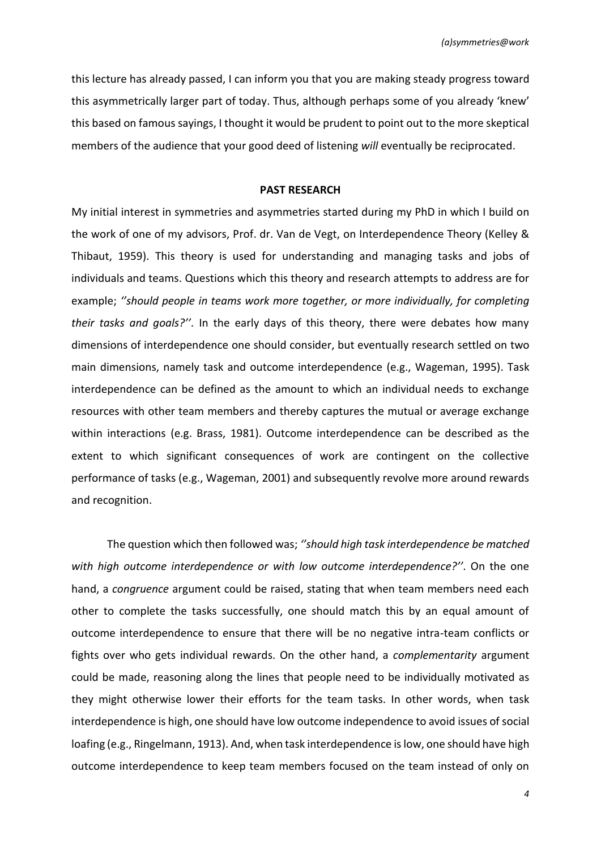this lecture has already passed, I can inform you that you are making steady progress toward this asymmetrically larger part of today. Thus, although perhaps some of you already 'knew' this based on famous sayings, I thought it would be prudent to point out to the more skeptical members of the audience that your good deed of listening *will* eventually be reciprocated.

#### **PAST RESEARCH**

My initial interest in symmetries and asymmetries started during my PhD in which I build on the work of one of my advisors, Prof. dr. Van de Vegt, on Interdependence Theory (Kelley & Thibaut, 1959). This theory is used for understanding and managing tasks and jobs of individuals and teams. Questions which this theory and research attempts to address are for example; *''should people in teams work more together, or more individually, for completing their tasks and goals?''*. In the early days of this theory, there were debates how many dimensions of interdependence one should consider, but eventually research settled on two main dimensions, namely task and outcome interdependence (e.g., Wageman, 1995). Task interdependence can be defined as the amount to which an individual needs to exchange resources with other team members and thereby captures the mutual or average exchange within interactions (e.g. Brass, 1981). Outcome interdependence can be described as the extent to which significant consequences of work are contingent on the collective performance of tasks (e.g., Wageman, 2001) and subsequently revolve more around rewards and recognition.

The question which then followed was; *''should high task interdependence be matched with high outcome interdependence or with low outcome interdependence?''*. On the one hand, a *congruence* argument could be raised, stating that when team members need each other to complete the tasks successfully, one should match this by an equal amount of outcome interdependence to ensure that there will be no negative intra-team conflicts or fights over who gets individual rewards. On the other hand, a *complementarity* argument could be made, reasoning along the lines that people need to be individually motivated as they might otherwise lower their efforts for the team tasks. In other words, when task interdependence is high, one should have low outcome independence to avoid issues of social loafing (e.g., Ringelmann, 1913). And, when task interdependence is low, one should have high outcome interdependence to keep team members focused on the team instead of only on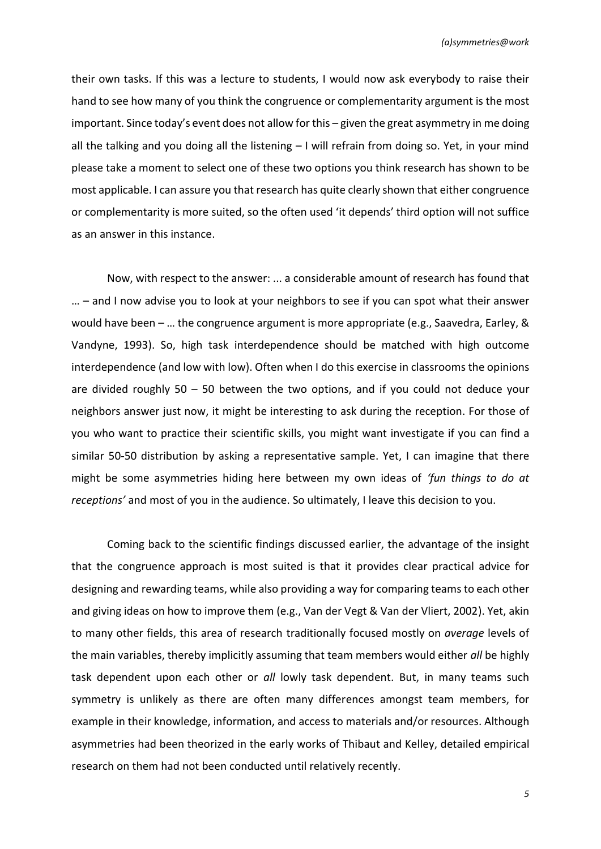their own tasks. If this was a lecture to students, I would now ask everybody to raise their hand to see how many of you think the congruence or complementarity argument is the most important. Since today's event does not allow for this – given the great asymmetry in me doing all the talking and you doing all the listening – I will refrain from doing so. Yet, in your mind please take a moment to select one of these two options you think research has shown to be most applicable. I can assure you that research has quite clearly shown that either congruence or complementarity is more suited, so the often used 'it depends' third option will not suffice as an answer in this instance.

Now, with respect to the answer: ... a considerable amount of research has found that … – and I now advise you to look at your neighbors to see if you can spot what their answer would have been – … the congruence argument is more appropriate (e.g., Saavedra, Earley, & Vandyne, 1993). So, high task interdependence should be matched with high outcome interdependence (and low with low). Often when I do this exercise in classrooms the opinions are divided roughly 50 – 50 between the two options, and if you could not deduce your neighbors answer just now, it might be interesting to ask during the reception. For those of you who want to practice their scientific skills, you might want investigate if you can find a similar 50-50 distribution by asking a representative sample. Yet, I can imagine that there might be some asymmetries hiding here between my own ideas of *'fun things to do at receptions'* and most of you in the audience. So ultimately, I leave this decision to you.

Coming back to the scientific findings discussed earlier, the advantage of the insight that the congruence approach is most suited is that it provides clear practical advice for designing and rewarding teams, while also providing a way for comparing teamsto each other and giving ideas on how to improve them (e.g., Van der Vegt & Van der Vliert, 2002). Yet, akin to many other fields, this area of research traditionally focused mostly on *average* levels of the main variables, thereby implicitly assuming that team members would either *all* be highly task dependent upon each other or *all* lowly task dependent. But, in many teams such symmetry is unlikely as there are often many differences amongst team members, for example in their knowledge, information, and access to materials and/or resources. Although asymmetries had been theorized in the early works of Thibaut and Kelley, detailed empirical research on them had not been conducted until relatively recently.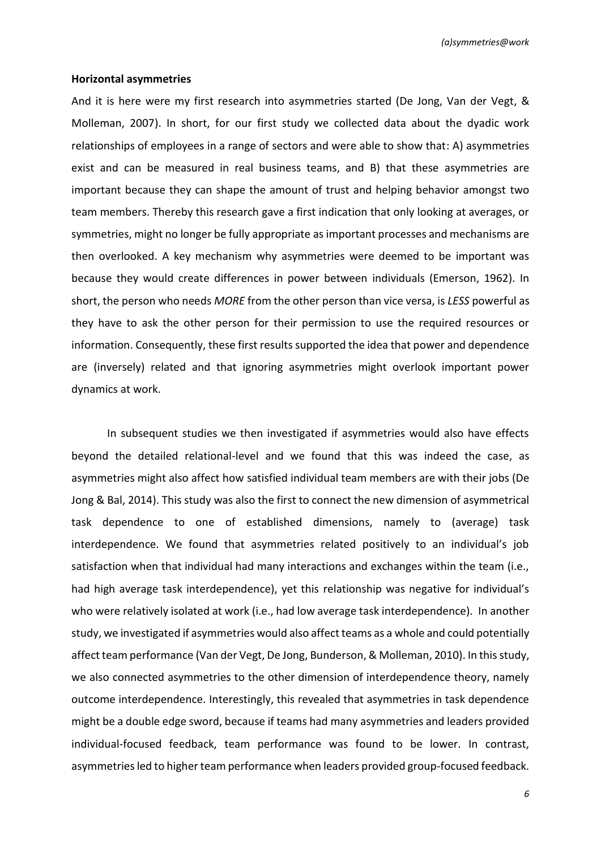#### **Horizontal asymmetries**

And it is here were my first research into asymmetries started (De Jong, Van der Vegt, & Molleman, 2007). In short, for our first study we collected data about the dyadic work relationships of employees in a range of sectors and were able to show that: A) asymmetries exist and can be measured in real business teams, and B) that these asymmetries are important because they can shape the amount of trust and helping behavior amongst two team members. Thereby this research gave a first indication that only looking at averages, or symmetries, might no longer be fully appropriate as important processes and mechanisms are then overlooked. A key mechanism why asymmetries were deemed to be important was because they would create differences in power between individuals (Emerson, 1962). In short, the person who needs *MORE* from the other person than vice versa, is *LESS* powerful as they have to ask the other person for their permission to use the required resources or information. Consequently, these first results supported the idea that power and dependence are (inversely) related and that ignoring asymmetries might overlook important power dynamics at work.

In subsequent studies we then investigated if asymmetries would also have effects beyond the detailed relational-level and we found that this was indeed the case, as asymmetries might also affect how satisfied individual team members are with their jobs (De Jong & Bal, 2014). This study was also the first to connect the new dimension of asymmetrical task dependence to one of established dimensions, namely to (average) task interdependence. We found that asymmetries related positively to an individual's job satisfaction when that individual had many interactions and exchanges within the team (i.e., had high average task interdependence), yet this relationship was negative for individual's who were relatively isolated at work (i.e., had low average task interdependence). In another study, we investigated if asymmetries would also affect teams as a whole and could potentially affect team performance (Van der Vegt, De Jong, Bunderson, & Molleman, 2010). In this study, we also connected asymmetries to the other dimension of interdependence theory, namely outcome interdependence. Interestingly, this revealed that asymmetries in task dependence might be a double edge sword, because if teams had many asymmetries and leaders provided individual-focused feedback, team performance was found to be lower. In contrast, asymmetries led to higher team performance when leaders provided group-focused feedback.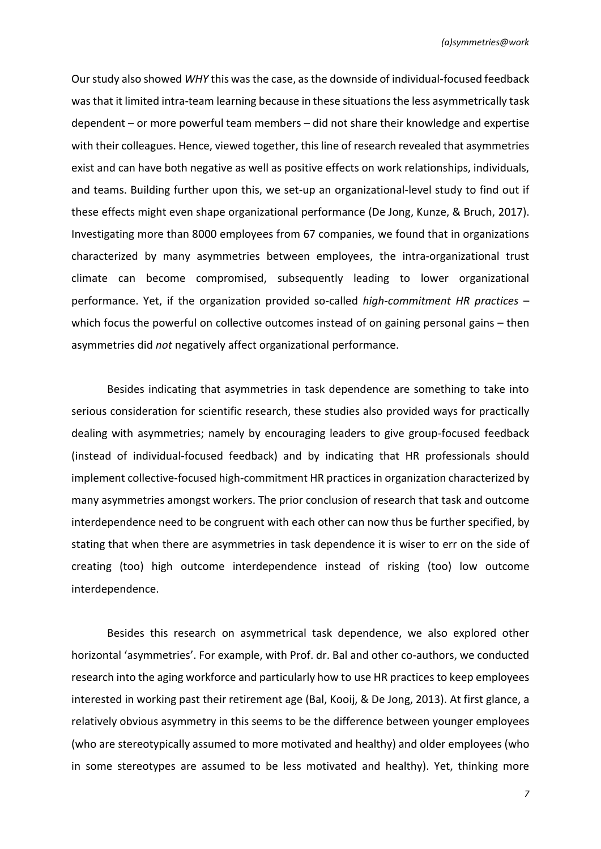Our study also showed *WHY* this was the case, as the downside of individual-focused feedback was that it limited intra-team learning because in these situations the less asymmetrically task dependent – or more powerful team members – did not share their knowledge and expertise with their colleagues. Hence, viewed together, this line of research revealed that asymmetries exist and can have both negative as well as positive effects on work relationships, individuals, and teams. Building further upon this, we set-up an organizational-level study to find out if these effects might even shape organizational performance (De Jong, Kunze, & Bruch, 2017). Investigating more than 8000 employees from 67 companies, we found that in organizations characterized by many asymmetries between employees, the intra-organizational trust climate can become compromised, subsequently leading to lower organizational performance. Yet, if the organization provided so-called *high-commitment HR practices* – which focus the powerful on collective outcomes instead of on gaining personal gains – then asymmetries did *not* negatively affect organizational performance.

Besides indicating that asymmetries in task dependence are something to take into serious consideration for scientific research, these studies also provided ways for practically dealing with asymmetries; namely by encouraging leaders to give group-focused feedback (instead of individual-focused feedback) and by indicating that HR professionals should implement collective-focused high-commitment HR practices in organization characterized by many asymmetries amongst workers. The prior conclusion of research that task and outcome interdependence need to be congruent with each other can now thus be further specified, by stating that when there are asymmetries in task dependence it is wiser to err on the side of creating (too) high outcome interdependence instead of risking (too) low outcome interdependence.

Besides this research on asymmetrical task dependence, we also explored other horizontal 'asymmetries'. For example, with Prof. dr. Bal and other co-authors, we conducted research into the aging workforce and particularly how to use HR practices to keep employees interested in working past their retirement age (Bal, Kooij, & De Jong, 2013). At first glance, a relatively obvious asymmetry in this seems to be the difference between younger employees (who are stereotypically assumed to more motivated and healthy) and older employees (who in some stereotypes are assumed to be less motivated and healthy). Yet, thinking more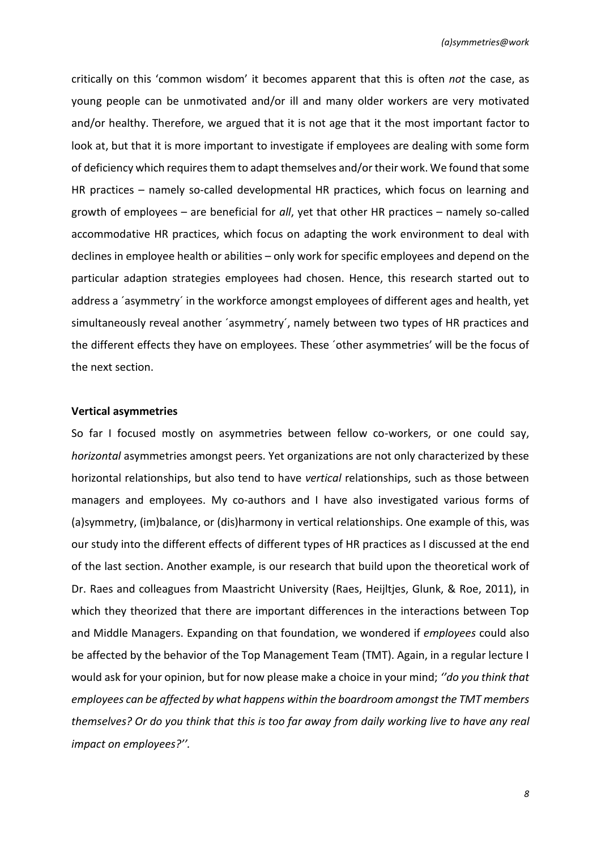critically on this 'common wisdom' it becomes apparent that this is often *not* the case, as young people can be unmotivated and/or ill and many older workers are very motivated and/or healthy. Therefore, we argued that it is not age that it the most important factor to look at, but that it is more important to investigate if employees are dealing with some form of deficiency which requires them to adapt themselves and/or their work. We found that some HR practices – namely so-called developmental HR practices, which focus on learning and growth of employees – are beneficial for *all*, yet that other HR practices – namely so-called accommodative HR practices, which focus on adapting the work environment to deal with declines in employee health or abilities – only work for specific employees and depend on the particular adaption strategies employees had chosen. Hence, this research started out to address a ´asymmetry´ in the workforce amongst employees of different ages and health, yet simultaneously reveal another 'asymmetry', namely between two types of HR practices and the different effects they have on employees. These ´other asymmetries' will be the focus of the next section.

#### **Vertical asymmetries**

So far I focused mostly on asymmetries between fellow co-workers, or one could say, *horizontal* asymmetries amongst peers. Yet organizations are not only characterized by these horizontal relationships, but also tend to have *vertical* relationships, such as those between managers and employees. My co-authors and I have also investigated various forms of (a)symmetry, (im)balance, or (dis)harmony in vertical relationships. One example of this, was our study into the different effects of different types of HR practices as I discussed at the end of the last section. Another example, is our research that build upon the theoretical work of Dr. Raes and colleagues from Maastricht University (Raes, Heijltjes, Glunk, & Roe, 2011), in which they theorized that there are important differences in the interactions between Top and Middle Managers. Expanding on that foundation, we wondered if *employees* could also be affected by the behavior of the Top Management Team (TMT). Again, in a regular lecture I would ask for your opinion, but for now please make a choice in your mind; *''do you think that employees can be affected by what happens within the boardroom amongst the TMT members themselves? Or do you think that this is too far away from daily working live to have any real impact on employees?''.*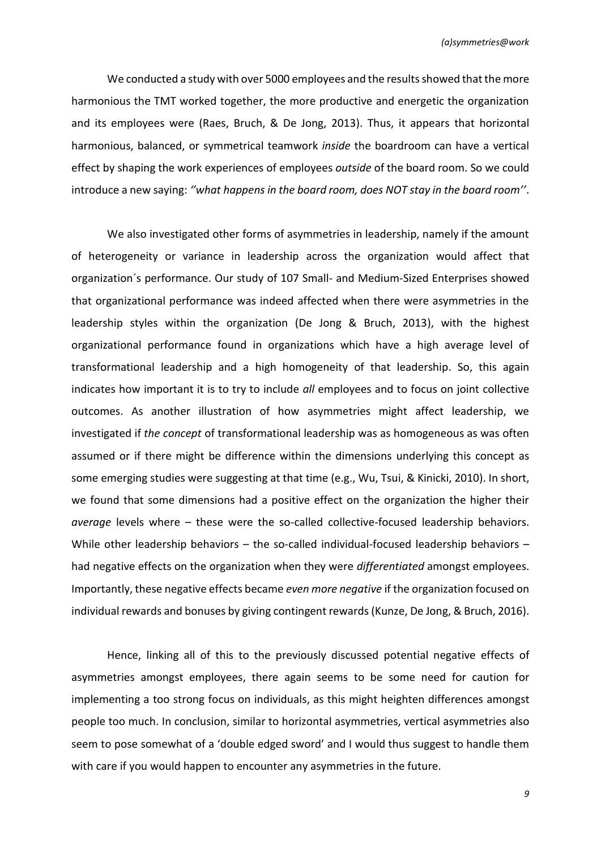We conducted a study with over 5000 employees and the results showed that the more harmonious the TMT worked together, the more productive and energetic the organization and its employees were (Raes, Bruch, & De Jong, 2013). Thus, it appears that horizontal harmonious, balanced, or symmetrical teamwork *inside* the boardroom can have a vertical effect by shaping the work experiences of employees *outside* of the board room. So we could introduce a new saying: *''what happens in the board room, does NOT stay in the board room''*.

We also investigated other forms of asymmetries in leadership, namely if the amount of heterogeneity or variance in leadership across the organization would affect that organization´s performance. Our study of 107 Small- and Medium-Sized Enterprises showed that organizational performance was indeed affected when there were asymmetries in the leadership styles within the organization (De Jong & Bruch, 2013), with the highest organizational performance found in organizations which have a high average level of transformational leadership and a high homogeneity of that leadership. So, this again indicates how important it is to try to include *all* employees and to focus on joint collective outcomes. As another illustration of how asymmetries might affect leadership, we investigated if *the concept* of transformational leadership was as homogeneous as was often assumed or if there might be difference within the dimensions underlying this concept as some emerging studies were suggesting at that time (e.g., Wu, Tsui, & Kinicki, 2010). In short, we found that some dimensions had a positive effect on the organization the higher their *average* levels where – these were the so-called collective-focused leadership behaviors. While other leadership behaviors – the so-called individual-focused leadership behaviors – had negative effects on the organization when they were *differentiated* amongst employees. Importantly, these negative effects became *even more negative* if the organization focused on individual rewards and bonuses by giving contingent rewards (Kunze, De Jong, & Bruch, 2016).

Hence, linking all of this to the previously discussed potential negative effects of asymmetries amongst employees, there again seems to be some need for caution for implementing a too strong focus on individuals, as this might heighten differences amongst people too much. In conclusion, similar to horizontal asymmetries, vertical asymmetries also seem to pose somewhat of a 'double edged sword' and I would thus suggest to handle them with care if you would happen to encounter any asymmetries in the future.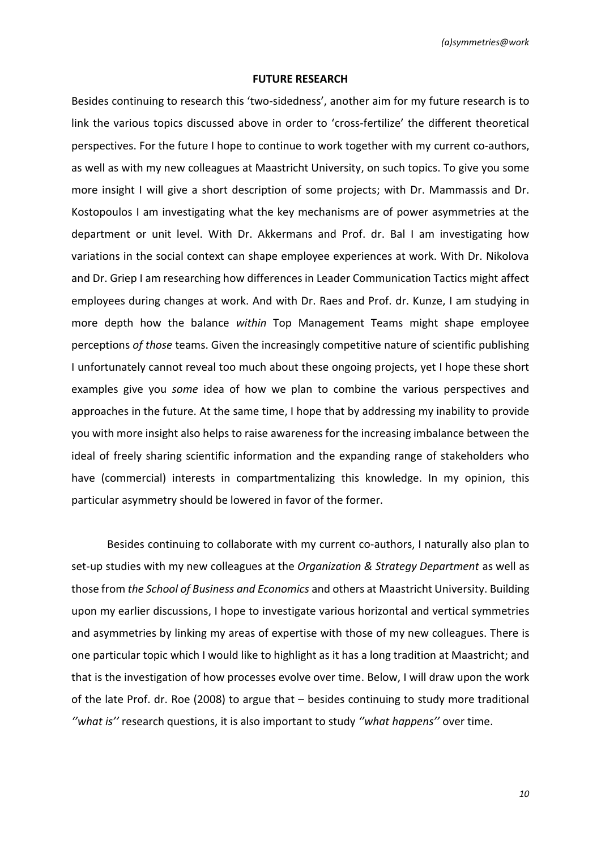#### **FUTURE RESEARCH**

Besides continuing to research this 'two-sidedness', another aim for my future research is to link the various topics discussed above in order to 'cross-fertilize' the different theoretical perspectives. For the future I hope to continue to work together with my current co-authors, as well as with my new colleagues at Maastricht University, on such topics. To give you some more insight I will give a short description of some projects; with Dr. Mammassis and Dr. Kostopoulos I am investigating what the key mechanisms are of power asymmetries at the department or unit level. With Dr. Akkermans and Prof. dr. Bal I am investigating how variations in the social context can shape employee experiences at work. With Dr. Nikolova and Dr. Griep I am researching how differences in Leader Communication Tactics might affect employees during changes at work. And with Dr. Raes and Prof. dr. Kunze, I am studying in more depth how the balance *within* Top Management Teams might shape employee perceptions *of those* teams. Given the increasingly competitive nature of scientific publishing I unfortunately cannot reveal too much about these ongoing projects, yet I hope these short examples give you *some* idea of how we plan to combine the various perspectives and approaches in the future. At the same time, I hope that by addressing my inability to provide you with more insight also helps to raise awareness for the increasing imbalance between the ideal of freely sharing scientific information and the expanding range of stakeholders who have (commercial) interests in compartmentalizing this knowledge. In my opinion, this particular asymmetry should be lowered in favor of the former.

Besides continuing to collaborate with my current co-authors, I naturally also plan to set-up studies with my new colleagues at the *Organization & Strategy Department* as well as those from *the School of Business and Economics* and others at Maastricht University. Building upon my earlier discussions, I hope to investigate various horizontal and vertical symmetries and asymmetries by linking my areas of expertise with those of my new colleagues. There is one particular topic which I would like to highlight as it has a long tradition at Maastricht; and that is the investigation of how processes evolve over time. Below, I will draw upon the work of the late Prof. dr. Roe (2008) to argue that – besides continuing to study more traditional *''what is''* research questions, it is also important to study *''what happens''* over time.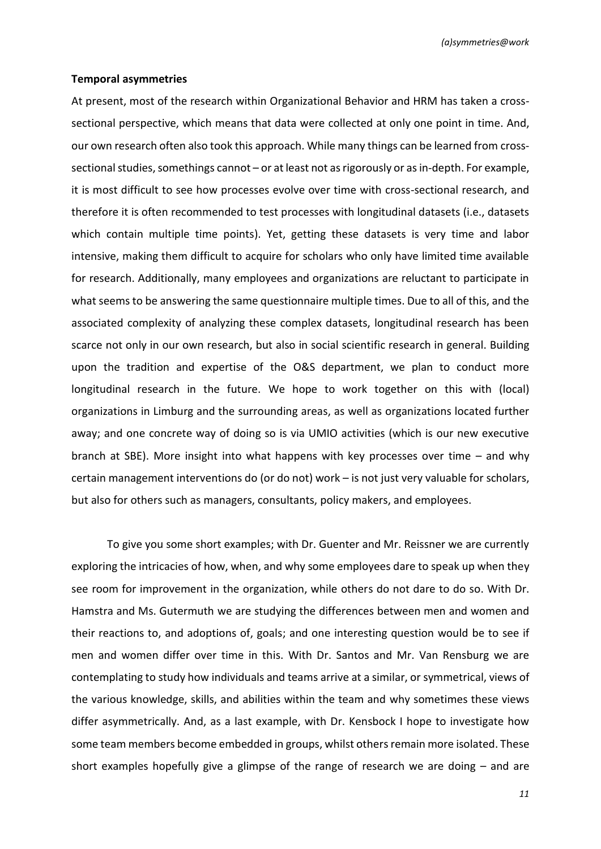#### **Temporal asymmetries**

At present, most of the research within Organizational Behavior and HRM has taken a crosssectional perspective, which means that data were collected at only one point in time. And, our own research often also took this approach. While many things can be learned from crosssectional studies, somethings cannot – or at least not as rigorously or as in-depth. For example, it is most difficult to see how processes evolve over time with cross-sectional research, and therefore it is often recommended to test processes with longitudinal datasets (i.e., datasets which contain multiple time points). Yet, getting these datasets is very time and labor intensive, making them difficult to acquire for scholars who only have limited time available for research. Additionally, many employees and organizations are reluctant to participate in what seems to be answering the same questionnaire multiple times. Due to all of this, and the associated complexity of analyzing these complex datasets, longitudinal research has been scarce not only in our own research, but also in social scientific research in general. Building upon the tradition and expertise of the O&S department, we plan to conduct more longitudinal research in the future. We hope to work together on this with (local) organizations in Limburg and the surrounding areas, as well as organizations located further away; and one concrete way of doing so is via UMIO activities (which is our new executive branch at SBE). More insight into what happens with key processes over time – and why certain management interventions do (or do not) work – is not just very valuable for scholars, but also for others such as managers, consultants, policy makers, and employees.

To give you some short examples; with Dr. Guenter and Mr. Reissner we are currently exploring the intricacies of how, when, and why some employees dare to speak up when they see room for improvement in the organization, while others do not dare to do so. With Dr. Hamstra and Ms. Gutermuth we are studying the differences between men and women and their reactions to, and adoptions of, goals; and one interesting question would be to see if men and women differ over time in this. With Dr. Santos and Mr. Van Rensburg we are contemplating to study how individuals and teams arrive at a similar, or symmetrical, views of the various knowledge, skills, and abilities within the team and why sometimes these views differ asymmetrically. And, as a last example, with Dr. Kensbock I hope to investigate how some team members become embedded in groups, whilst others remain more isolated. These short examples hopefully give a glimpse of the range of research we are doing – and are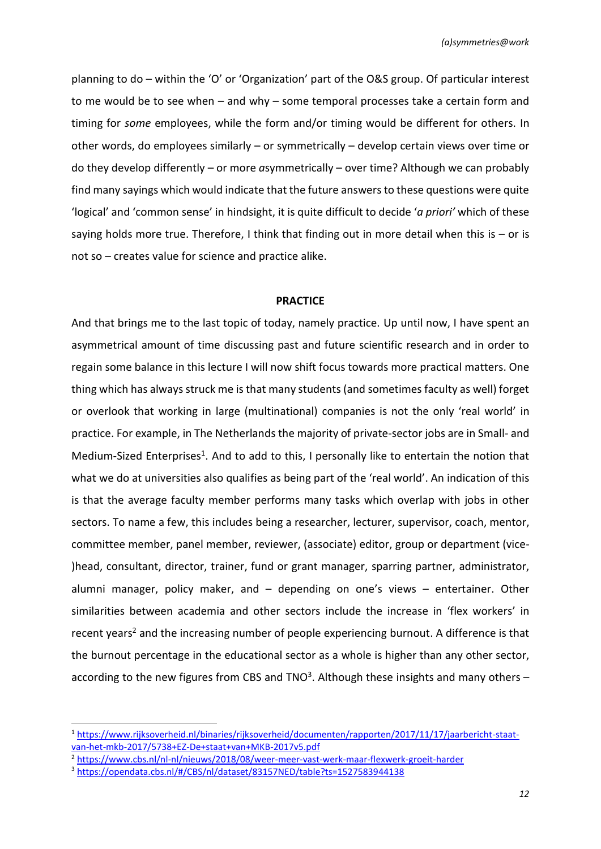planning to do – within the 'O' or 'Organization' part of the O&S group. Of particular interest to me would be to see when – and why – some temporal processes take a certain form and timing for *some* employees, while the form and/or timing would be different for others. In other words, do employees similarly – or symmetrically – develop certain views over time or do they develop differently – or more *a*symmetrically – over time? Although we can probably find many sayings which would indicate that the future answers to these questions were quite 'logical' and 'common sense' in hindsight, it is quite difficult to decide '*a priori'* which of these saying holds more true. Therefore, I think that finding out in more detail when this is  $-$  or is not so – creates value for science and practice alike.

#### **PRACTICE**

And that brings me to the last topic of today, namely practice. Up until now, I have spent an asymmetrical amount of time discussing past and future scientific research and in order to regain some balance in this lecture I will now shift focus towards more practical matters. One thing which has always struck me is that many students (and sometimes faculty as well) forget or overlook that working in large (multinational) companies is not the only 'real world' in practice. For example, in The Netherlands the majority of private-sector jobs are in Small- and Medium-Sized Enterprises<sup>1</sup>. And to add to this, I personally like to entertain the notion that what we do at universities also qualifies as being part of the 'real world'. An indication of this is that the average faculty member performs many tasks which overlap with jobs in other sectors. To name a few, this includes being a researcher, lecturer, supervisor, coach, mentor, committee member, panel member, reviewer, (associate) editor, group or department (vice- )head, consultant, director, trainer, fund or grant manager, sparring partner, administrator, alumni manager, policy maker, and – depending on one's views – entertainer. Other similarities between academia and other sectors include the increase in 'flex workers' in recent years<sup>2</sup> and the increasing number of people experiencing burnout. A difference is that the burnout percentage in the educational sector as a whole is higher than any other sector, according to the new figures from CBS and TNO<sup>3</sup>. Although these insights and many others  $-$ 

**.** 

<sup>1</sup> [https://www.rijksoverheid.nl/binaries/rijksoverheid/documenten/rapporten/2017/11/17/jaarbericht-staat](https://www.rijksoverheid.nl/binaries/rijksoverheid/documenten/rapporten/2017/11/17/jaarbericht-staat-van-het-mkb-2017/5738+EZ-De+staat+van+MKB-2017v5.pdf)[van-het-mkb-2017/5738+EZ-De+staat+van+MKB-2017v5.pdf](https://www.rijksoverheid.nl/binaries/rijksoverheid/documenten/rapporten/2017/11/17/jaarbericht-staat-van-het-mkb-2017/5738+EZ-De+staat+van+MKB-2017v5.pdf)

<sup>2</sup> <https://www.cbs.nl/nl-nl/nieuws/2018/08/weer-meer-vast-werk-maar-flexwerk-groeit-harder>

<sup>3</sup> <https://opendata.cbs.nl/#/CBS/nl/dataset/83157NED/table?ts=1527583944138>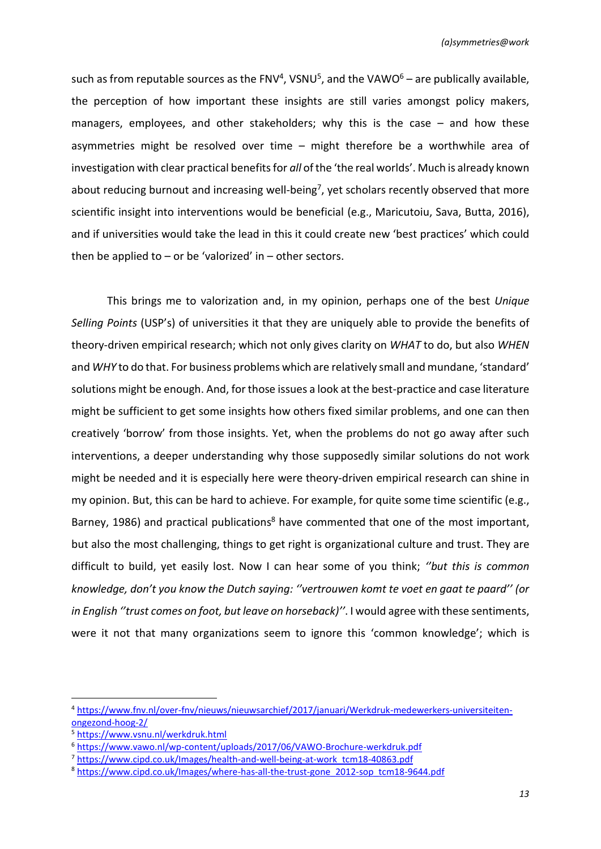such as from reputable sources as the FNV<sup>4</sup>, VSNU<sup>5</sup>, and the VAWO<sup>6</sup> – are publically available, the perception of how important these insights are still varies amongst policy makers, managers, employees, and other stakeholders; why this is the case – and how these asymmetries might be resolved over time – might therefore be a worthwhile area of investigation with clear practical benefits for *all* of the 'the real worlds'. Much is already known about reducing burnout and increasing well-being<sup>7</sup>, yet scholars recently observed that more scientific insight into interventions would be beneficial (e.g., Maricutoiu, Sava, Butta, 2016), and if universities would take the lead in this it could create new 'best practices' which could then be applied to  $-$  or be 'valorized' in  $-$  other sectors.

This brings me to valorization and, in my opinion, perhaps one of the best *Unique Selling Points* (USP's) of universities it that they are uniquely able to provide the benefits of theory-driven empirical research; which not only gives clarity on *WHAT* to do, but also *WHEN* and *WHY* to do that. For business problems which are relatively small and mundane, 'standard' solutions might be enough. And, for those issues a look at the best-practice and case literature might be sufficient to get some insights how others fixed similar problems, and one can then creatively 'borrow' from those insights. Yet, when the problems do not go away after such interventions, a deeper understanding why those supposedly similar solutions do not work might be needed and it is especially here were theory-driven empirical research can shine in my opinion. But, this can be hard to achieve. For example, for quite some time scientific (e.g., Barney, 1986) and practical publications<sup>8</sup> have commented that one of the most important, but also the most challenging, things to get right is organizational culture and trust. They are difficult to build, yet easily lost. Now I can hear some of you think; *''but this is common knowledge, don't you know the Dutch saying: ''vertrouwen komt te voet en gaat te paard'' (or in English ''trust comes on foot, but leave on horseback)''*. I would agree with these sentiments, were it not that many organizations seem to ignore this 'common knowledge'; which is

<sup>4</sup> [https://www.fnv.nl/over-fnv/nieuws/nieuwsarchief/2017/januari/Werkdruk-medewerkers-universiteiten](https://www.fnv.nl/over-fnv/nieuws/nieuwsarchief/2017/januari/Werkdruk-medewerkers-universiteiten-ongezond-hoog-2/)[ongezond-hoog-2/](https://www.fnv.nl/over-fnv/nieuws/nieuwsarchief/2017/januari/Werkdruk-medewerkers-universiteiten-ongezond-hoog-2/)

<sup>5</sup> <https://www.vsnu.nl/werkdruk.html>

<sup>6</sup> <https://www.vawo.nl/wp-content/uploads/2017/06/VAWO-Brochure-werkdruk.pdf>

<sup>&</sup>lt;sup>7</sup> [https://www.cipd.co.uk/Images/health-and-well-being-at-work\\_tcm18-40863.pdf](https://www.cipd.co.uk/Images/health-and-well-being-at-work_tcm18-40863.pdf)

<sup>8</sup> [https://www.cipd.co.uk/Images/where-has-all-the-trust-gone\\_2012-sop\\_tcm18-9644.pdf](https://www.cipd.co.uk/Images/where-has-all-the-trust-gone_2012-sop_tcm18-9644.pdf)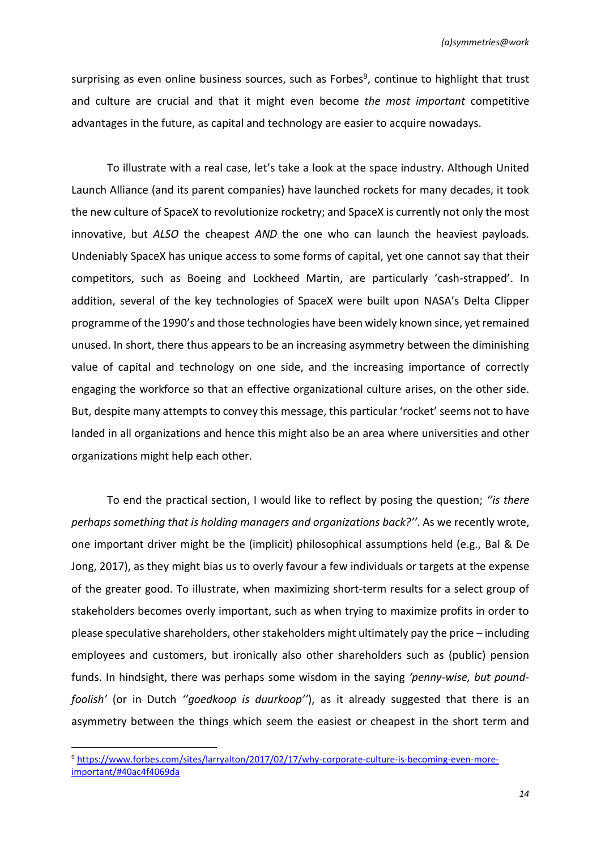surprising as even online business sources, such as Forbes<sup>9</sup>, continue to highlight that trust and culture are crucial and that it might even become *the most important* competitive advantages in the future, as capital and technology are easier to acquire nowadays.

To illustrate with a real case, let's take a look at the space industry. Although United Launch Alliance (and its parent companies) have launched rockets for many decades, it took the new culture of SpaceX to revolutionize rocketry; and SpaceX is currently not only the most innovative, but *ALSO* the cheapest *AND* the one who can launch the heaviest payloads. Undeniably SpaceX has unique access to some forms of capital, yet one cannot say that their competitors, such as Boeing and Lockheed Martin, are particularly 'cash-strapped'. In addition, several of the key technologies of SpaceX were built upon NASA's Delta Clipper programme of the 1990's and those technologies have been widely known since, yet remained unused. In short, there thus appears to be an increasing asymmetry between the diminishing value of capital and technology on one side, and the increasing importance of correctly engaging the workforce so that an effective organizational culture arises, on the other side. But, despite many attempts to convey this message, this particular 'rocket' seems not to have landed in all organizations and hence this might also be an area where universities and other organizations might help each other.

To end the practical section, I would like to reflect by posing the question; *''is there perhaps something that is holding managers and organizations back?''*. As we recently wrote, one important driver might be the (implicit) philosophical assumptions held (e.g., Bal & De Jong, 2017), as they might bias us to overly favour a few individuals or targets at the expense of the greater good. To illustrate, when maximizing short-term results for a select group of stakeholders becomes overly important, such as when trying to maximize profits in order to please speculative shareholders, other stakeholders might ultimately pay the price – including employees and customers, but ironically also other shareholders such as (public) pension funds. In hindsight, there was perhaps some wisdom in the saying *'penny-wise, but poundfoolish'* (or in Dutch *''goedkoop is duurkoop''*), as it already suggested that there is an asymmetry between the things which seem the easiest or cheapest in the short term and

**.** 

<sup>9</sup> [https://www.forbes.com/sites/larryalton/2017/02/17/why-corporate-culture-is-becoming-even-more](https://www.forbes.com/sites/larryalton/2017/02/17/why-corporate-culture-is-becoming-even-more-important/#40ac4f4069da)[important/#40ac4f4069da](https://www.forbes.com/sites/larryalton/2017/02/17/why-corporate-culture-is-becoming-even-more-important/#40ac4f4069da)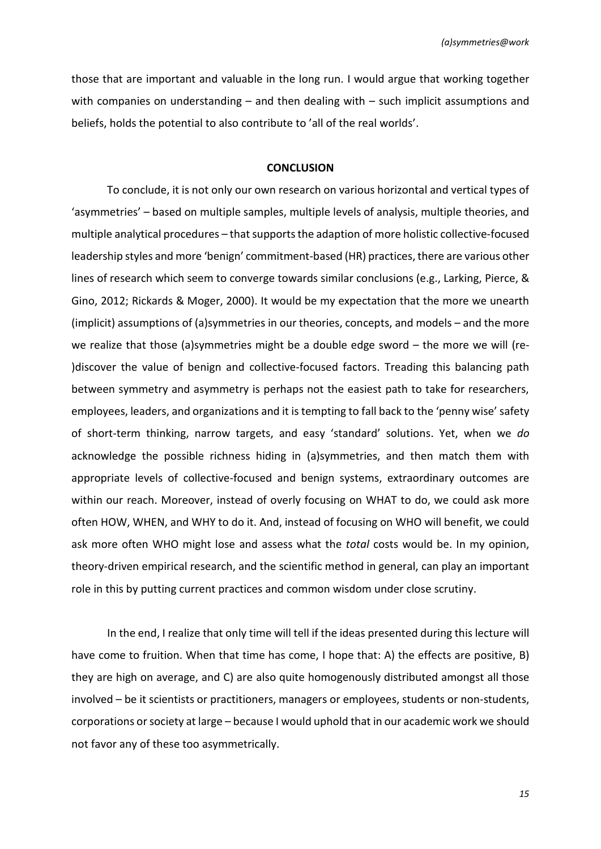those that are important and valuable in the long run. I would argue that working together with companies on understanding – and then dealing with – such implicit assumptions and beliefs, holds the potential to also contribute to 'all of the real worlds'.

#### **CONCLUSION**

To conclude, it is not only our own research on various horizontal and vertical types of 'asymmetries' – based on multiple samples, multiple levels of analysis, multiple theories, and multiple analytical procedures – that supports the adaption of more holistic collective-focused leadership styles and more 'benign' commitment-based (HR) practices, there are various other lines of research which seem to converge towards similar conclusions (e.g., Larking, Pierce, & Gino, 2012; Rickards & Moger, 2000). It would be my expectation that the more we unearth (implicit) assumptions of (a)symmetries in our theories, concepts, and models – and the more we realize that those (a)symmetries might be a double edge sword – the more we will (re- )discover the value of benign and collective-focused factors. Treading this balancing path between symmetry and asymmetry is perhaps not the easiest path to take for researchers, employees, leaders, and organizations and it is tempting to fall back to the 'penny wise' safety of short-term thinking, narrow targets, and easy 'standard' solutions. Yet, when we *do* acknowledge the possible richness hiding in (a)symmetries, and then match them with appropriate levels of collective-focused and benign systems, extraordinary outcomes are within our reach. Moreover, instead of overly focusing on WHAT to do, we could ask more often HOW, WHEN, and WHY to do it. And, instead of focusing on WHO will benefit, we could ask more often WHO might lose and assess what the *total* costs would be. In my opinion, theory-driven empirical research, and the scientific method in general, can play an important role in this by putting current practices and common wisdom under close scrutiny.

In the end, I realize that only time will tell if the ideas presented during this lecture will have come to fruition. When that time has come, I hope that: A) the effects are positive, B) they are high on average, and C) are also quite homogenously distributed amongst all those involved – be it scientists or practitioners, managers or employees, students or non-students, corporations or society at large – because I would uphold that in our academic work we should not favor any of these too asymmetrically.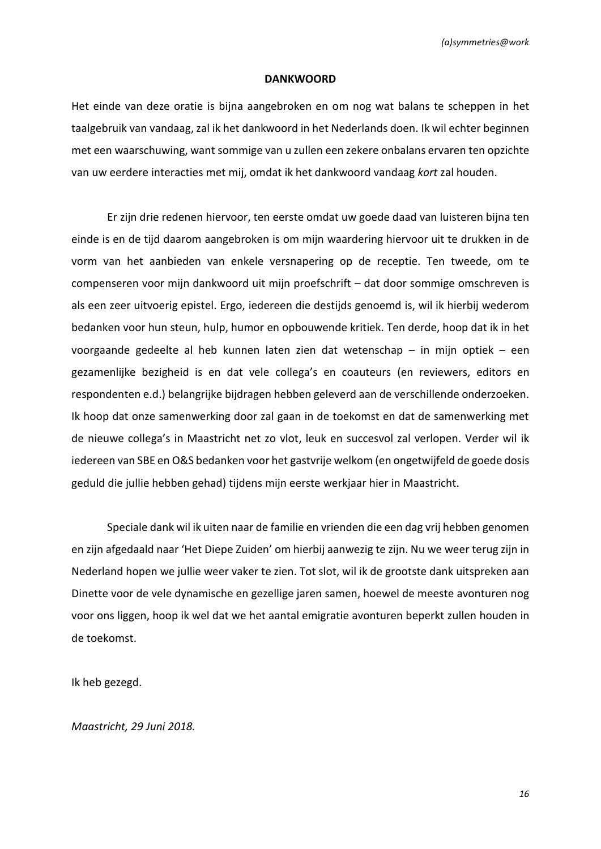#### **DANKWOORD**

Het einde van deze oratie is bijna aangebroken en om nog wat balans te scheppen in het taalgebruik van vandaag, zal ik het dankwoord in het Nederlands doen. Ik wil echter beginnen met een waarschuwing, want sommige van u zullen een zekere onbalans ervaren ten opzichte van uw eerdere interacties met mij, omdat ik het dankwoord vandaag *kort* zal houden.

Er zijn drie redenen hiervoor, ten eerste omdat uw goede daad van luisteren bijna ten einde is en de tijd daarom aangebroken is om mijn waardering hiervoor uit te drukken in de vorm van het aanbieden van enkele versnapering op de receptie. Ten tweede, om te compenseren voor mijn dankwoord uit mijn proefschrift – dat door sommige omschreven is als een zeer uitvoerig epistel. Ergo, iedereen die destijds genoemd is, wil ik hierbij wederom bedanken voor hun steun, hulp, humor en opbouwende kritiek. Ten derde, hoop dat ik in het voorgaande gedeelte al heb kunnen laten zien dat wetenschap – in mijn optiek – een gezamenlijke bezigheid is en dat vele collega's en coauteurs (en reviewers, editors en respondenten e.d.) belangrijke bijdragen hebben geleverd aan de verschillende onderzoeken. Ik hoop dat onze samenwerking door zal gaan in de toekomst en dat de samenwerking met de nieuwe collega's in Maastricht net zo vlot, leuk en succesvol zal verlopen. Verder wil ik iedereen van SBE en O&S bedanken voor het gastvrije welkom (en ongetwijfeld de goede dosis geduld die jullie hebben gehad) tijdens mijn eerste werkjaar hier in Maastricht.

Speciale dank wil ik uiten naar de familie en vrienden die een dag vrij hebben genomen en zijn afgedaald naar 'Het Diepe Zuiden' om hierbij aanwezig te zijn. Nu we weer terug zijn in Nederland hopen we jullie weer vaker te zien. Tot slot, wil ik de grootste dank uitspreken aan Dinette voor de vele dynamische en gezellige jaren samen, hoewel de meeste avonturen nog voor ons liggen, hoop ik wel dat we het aantal emigratie avonturen beperkt zullen houden in de toekomst.

Ik heb gezegd.

*Maastricht, 29 Juni 2018.*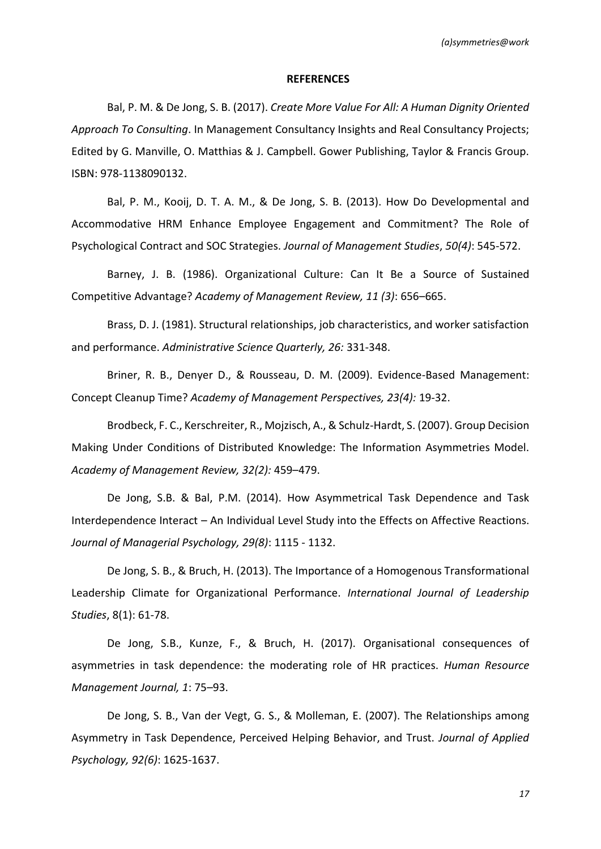#### **REFERENCES**

Bal, P. M. & De Jong, S. B. (2017). *Create More Value For All: A Human Dignity Oriented Approach To Consulting*. In Management Consultancy Insights and Real Consultancy Projects; Edited by G. Manville, O. Matthias & J. Campbell. Gower Publishing, Taylor & Francis Group. ISBN: 978-1138090132.

Bal, P. M., Kooij, D. T. A. M., & De Jong, S. B. (2013). How Do Developmental and Accommodative HRM Enhance Employee Engagement and Commitment? The Role of Psychological Contract and SOC Strategies. *Journal of Management Studies*, *50(4)*: 545-572.

Barney, J. B. (1986). Organizational Culture: Can It Be a Source of Sustained Competitive Advantage? *Academy of Management Review, 11 (3)*: 656–665.

Brass, D. J. (1981). Structural relationships, job characteristics, and worker satisfaction and performance. *Administrative Science Quarterly, 26:* 331-348.

Briner, R. B., Denyer D., & Rousseau, D. M. (2009). Evidence-Based Management: Concept Cleanup Time? *Academy of Management Perspectives, 23(4):* 19-32.

Brodbeck, F. C., Kerschreiter, R., Mojzisch, A., & Schulz-Hardt, S. (2007). Group Decision Making Under Conditions of Distributed Knowledge: The Information Asymmetries Model. *Academy of Management Review, 32(2):* 459–479.

De Jong, S.B. & Bal, P.M. (2014). How Asymmetrical Task Dependence and Task Interdependence Interact – An Individual Level Study into the Effects on Affective Reactions. *Journal of Managerial Psychology, 29(8)*: 1115 - 1132.

De Jong, S. B., & Bruch, H. (2013). The Importance of a Homogenous Transformational Leadership Climate for Organizational Performance. *International Journal of Leadership Studies*, 8(1): 61-78.

De Jong, S.B., Kunze, F., & Bruch, H. (2017). Organisational consequences of asymmetries in task dependence: the moderating role of HR practices. *Human Resource Management Journal, 1*: 75–93.

De Jong, S. B., Van der Vegt, G. S., & Molleman, E. (2007). The Relationships among Asymmetry in Task Dependence, Perceived Helping Behavior, and Trust. *Journal of Applied Psychology, 92(6)*: 1625-1637.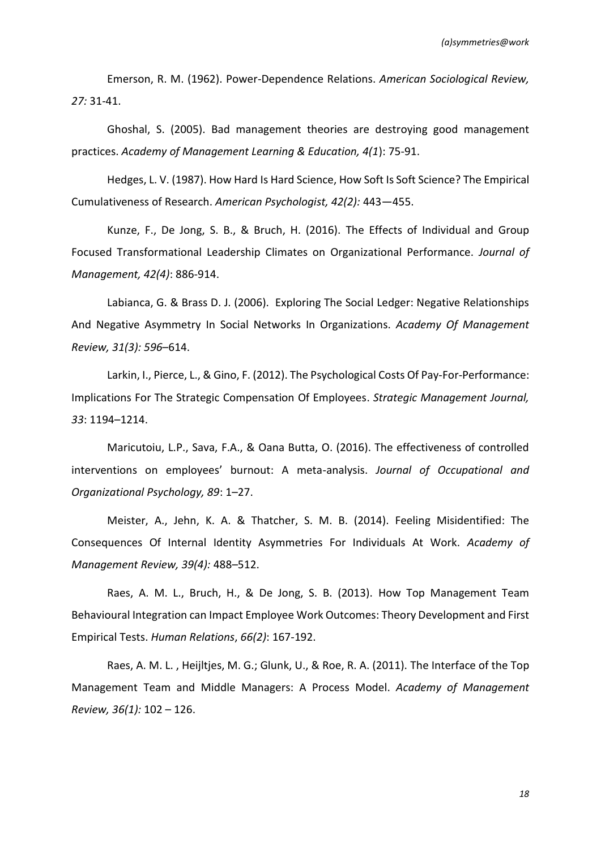Emerson, R. M. (1962). Power-Dependence Relations. *American Sociological Review, 27:* 31-41.

Ghoshal, S. (2005). Bad management theories are destroying good management practices. *Academy of Management Learning & Education, 4(1*): 75-91.

Hedges, L. V. (1987). How Hard Is Hard Science, How Soft Is Soft Science? The Empirical Cumulativeness of Research. *American Psychologist, 42(2):* 443—455.

Kunze, F., De Jong, S. B., & Bruch, H. (2016). The Effects of Individual and Group Focused Transformational Leadership Climates on Organizational Performance. *Journal of Management, 42(4)*: 886-914.

Labianca, G. & Brass D. J. (2006). Exploring The Social Ledger: Negative Relationships And Negative Asymmetry In Social Networks In Organizations. *Academy Of Management Review, 31(3): 596*–614.

Larkin, I., Pierce, L., & Gino, F. (2012). The Psychological Costs Of Pay-For-Performance: Implications For The Strategic Compensation Of Employees. *Strategic Management Journal, 33*: 1194–1214.

Maricutoiu, L.P., Sava, F.A., & Oana Butta, O. (2016). The effectiveness of controlled interventions on employees' burnout: A meta-analysis. *Journal of Occupational and Organizational Psychology, 89*: 1–27.

Meister, A., Jehn, K. A. & Thatcher, S. M. B. (2014). Feeling Misidentified: The Consequences Of Internal Identity Asymmetries For Individuals At Work. *Academy of Management Review, 39(4):* 488–512.

Raes, A. M. L., Bruch, H., & De Jong, S. B. (2013). How Top Management Team Behavioural Integration can Impact Employee Work Outcomes: Theory Development and First Empirical Tests. *Human Relations*, *66(2)*: 167-192.

Raes, A. M. L. , Heijltjes, M. G.; Glunk, U., & Roe, R. A. (2011). The Interface of the Top Management Team and Middle Managers: A Process Model. *Academy of Management Review, 36(1):* 102 – 126.